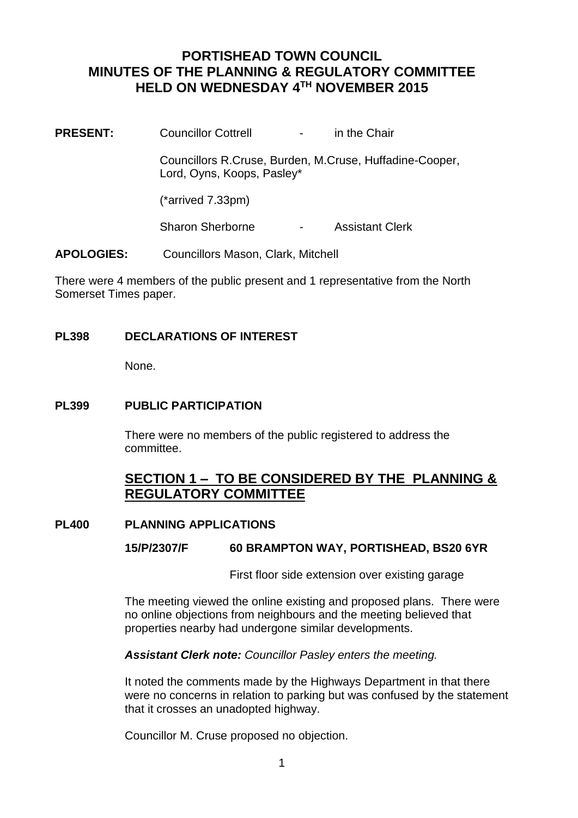# **PORTISHEAD TOWN COUNCIL MINUTES OF THE PLANNING & REGULATORY COMMITTEE HELD ON WEDNESDAY 4TH NOVEMBER 2015**

**PRESENT:** Councillor Cottrell The Chair Councillors R.Cruse, Burden, M.Cruse, Huffadine-Cooper, Lord, Oyns, Koops, Pasley\* (\*arrived 7.33pm) Sharon Sherborne - Assistant Clerk

**APOLOGIES:** Councillors Mason, Clark, Mitchell

There were 4 members of the public present and 1 representative from the North Somerset Times paper.

# **PL398 DECLARATIONS OF INTEREST**

None.

## **PL399 PUBLIC PARTICIPATION**

There were no members of the public registered to address the committee.

# **SECTION 1 – TO BE CONSIDERED BY THE PLANNING & REGULATORY COMMITTEE**

### **PL400 PLANNING APPLICATIONS**

### **15/P/2307/F 60 BRAMPTON WAY, PORTISHEAD, BS20 6YR**

First floor side extension over existing garage

The meeting viewed the online existing and proposed plans. There were no online objections from neighbours and the meeting believed that properties nearby had undergone similar developments.

*Assistant Clerk note: Councillor Pasley enters the meeting.*

It noted the comments made by the Highways Department in that there were no concerns in relation to parking but was confused by the statement that it crosses an unadopted highway.

Councillor M. Cruse proposed no objection.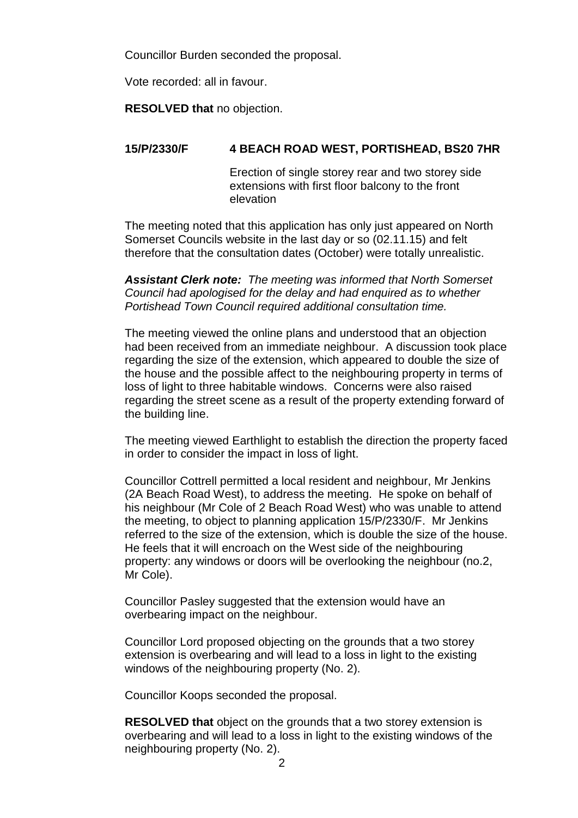Councillor Burden seconded the proposal.

Vote recorded: all in favour.

**RESOLVED that** no objection.

## **15/P/2330/F 4 BEACH ROAD WEST, PORTISHEAD, BS20 7HR**

Erection of single storey rear and two storey side extensions with first floor balcony to the front elevation

The meeting noted that this application has only just appeared on North Somerset Councils website in the last day or so (02.11.15) and felt therefore that the consultation dates (October) were totally unrealistic.

*Assistant Clerk note: The meeting was informed that North Somerset Council had apologised for the delay and had enquired as to whether Portishead Town Council required additional consultation time.* 

The meeting viewed the online plans and understood that an objection had been received from an immediate neighbour. A discussion took place regarding the size of the extension, which appeared to double the size of the house and the possible affect to the neighbouring property in terms of loss of light to three habitable windows. Concerns were also raised regarding the street scene as a result of the property extending forward of the building line.

The meeting viewed Earthlight to establish the direction the property faced in order to consider the impact in loss of light.

Councillor Cottrell permitted a local resident and neighbour, Mr Jenkins (2A Beach Road West), to address the meeting. He spoke on behalf of his neighbour (Mr Cole of 2 Beach Road West) who was unable to attend the meeting, to object to planning application 15/P/2330/F. Mr Jenkins referred to the size of the extension, which is double the size of the house. He feels that it will encroach on the West side of the neighbouring property: any windows or doors will be overlooking the neighbour (no.2, Mr Cole).

Councillor Pasley suggested that the extension would have an overbearing impact on the neighbour.

Councillor Lord proposed objecting on the grounds that a two storey extension is overbearing and will lead to a loss in light to the existing windows of the neighbouring property (No. 2).

Councillor Koops seconded the proposal.

**RESOLVED that** object on the grounds that a two storey extension is overbearing and will lead to a loss in light to the existing windows of the neighbouring property (No. 2).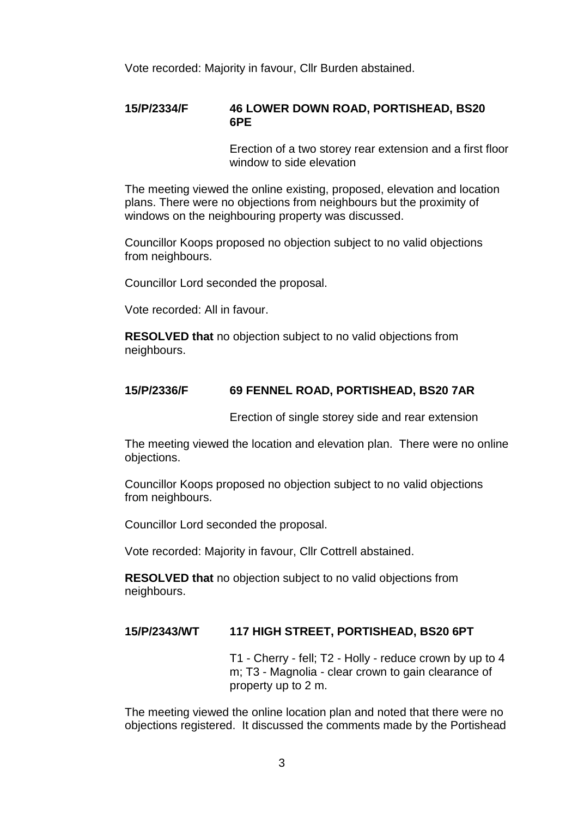Vote recorded: Majority in favour, Cllr Burden abstained.

#### **15/P/2334/F 46 LOWER DOWN ROAD, PORTISHEAD, BS20 6PE**

Erection of a two storey rear extension and a first floor window to side elevation

The meeting viewed the online existing, proposed, elevation and location plans. There were no objections from neighbours but the proximity of windows on the neighbouring property was discussed.

Councillor Koops proposed no objection subject to no valid objections from neighbours.

Councillor Lord seconded the proposal.

Vote recorded: All in favour.

**RESOLVED that** no objection subject to no valid objections from neighbours.

#### **15/P/2336/F 69 FENNEL ROAD, PORTISHEAD, BS20 7AR**

Erection of single storey side and rear extension

The meeting viewed the location and elevation plan. There were no online objections.

Councillor Koops proposed no objection subject to no valid objections from neighbours.

Councillor Lord seconded the proposal.

Vote recorded: Majority in favour, Cllr Cottrell abstained.

**RESOLVED that** no objection subject to no valid objections from neighbours.

#### **15/P/2343/WT 117 HIGH STREET, PORTISHEAD, BS20 6PT**

T1 - Cherry - fell; T2 - Holly - reduce crown by up to 4 m; T3 - Magnolia - clear crown to gain clearance of property up to 2 m.

The meeting viewed the online location plan and noted that there were no objections registered. It discussed the comments made by the Portishead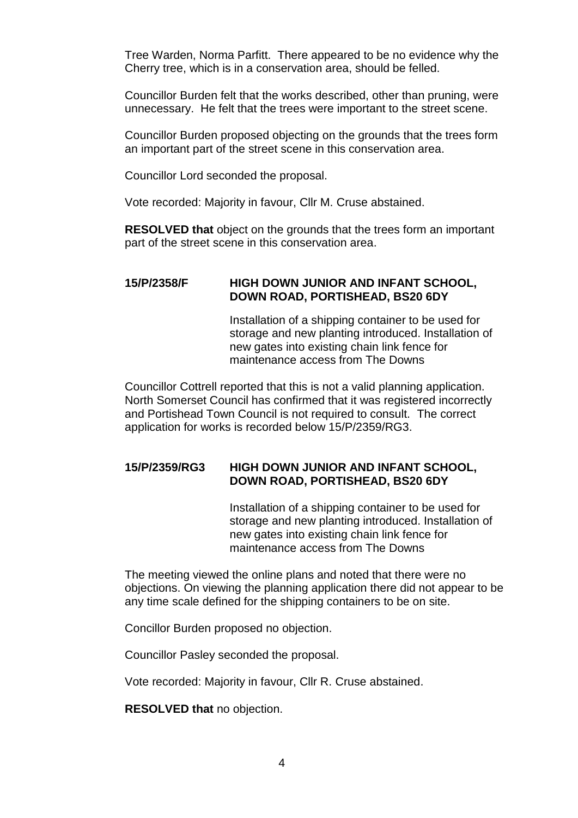Tree Warden, Norma Parfitt. There appeared to be no evidence why the Cherry tree, which is in a conservation area, should be felled.

Councillor Burden felt that the works described, other than pruning, were unnecessary. He felt that the trees were important to the street scene.

Councillor Burden proposed objecting on the grounds that the trees form an important part of the street scene in this conservation area.

Councillor Lord seconded the proposal.

Vote recorded: Majority in favour, Cllr M. Cruse abstained.

**RESOLVED that** object on the grounds that the trees form an important part of the street scene in this conservation area.

### **15/P/2358/F HIGH DOWN JUNIOR AND INFANT SCHOOL, DOWN ROAD, PORTISHEAD, BS20 6DY**

Installation of a shipping container to be used for storage and new planting introduced. Installation of new gates into existing chain link fence for maintenance access from The Downs

Councillor Cottrell reported that this is not a valid planning application. North Somerset Council has confirmed that it was registered incorrectly and Portishead Town Council is not required to consult. The correct application for works is recorded below 15/P/2359/RG3.

## **15/P/2359/RG3 HIGH DOWN JUNIOR AND INFANT SCHOOL, DOWN ROAD, PORTISHEAD, BS20 6DY**

Installation of a shipping container to be used for storage and new planting introduced. Installation of new gates into existing chain link fence for maintenance access from The Downs

The meeting viewed the online plans and noted that there were no objections. On viewing the planning application there did not appear to be any time scale defined for the shipping containers to be on site.

Concillor Burden proposed no objection.

Councillor Pasley seconded the proposal.

Vote recorded: Majority in favour, Cllr R. Cruse abstained.

**RESOLVED that** no objection.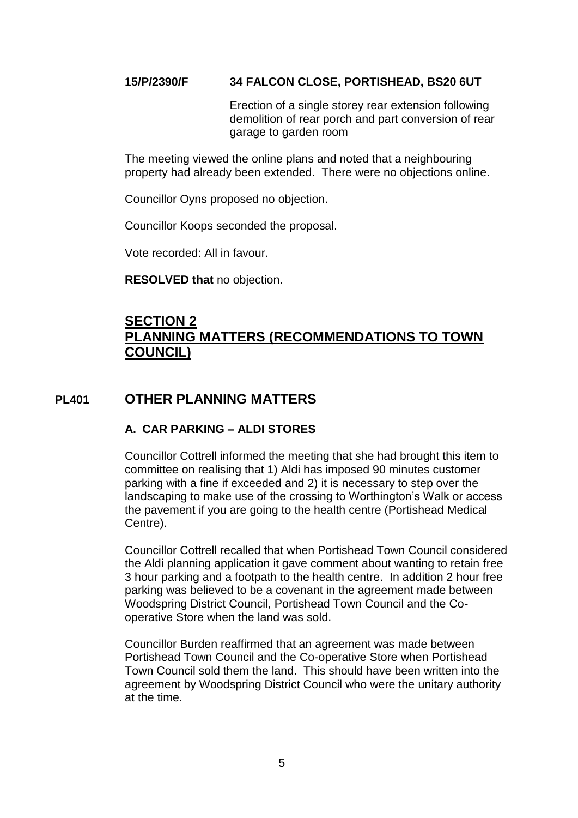## **15/P/2390/F 34 FALCON CLOSE, PORTISHEAD, BS20 6UT**

Erection of a single storey rear extension following demolition of rear porch and part conversion of rear garage to garden room

The meeting viewed the online plans and noted that a neighbouring property had already been extended. There were no objections online.

Councillor Oyns proposed no objection.

Councillor Koops seconded the proposal.

Vote recorded: All in favour.

**RESOLVED that** no objection.

# **SECTION 2 PLANNING MATTERS (RECOMMENDATIONS TO TOWN COUNCIL)**

# **PL401 OTHER PLANNING MATTERS**

# **A. CAR PARKING – ALDI STORES**

Councillor Cottrell informed the meeting that she had brought this item to committee on realising that 1) Aldi has imposed 90 minutes customer parking with a fine if exceeded and 2) it is necessary to step over the landscaping to make use of the crossing to Worthington's Walk or access the pavement if you are going to the health centre (Portishead Medical Centre).

Councillor Cottrell recalled that when Portishead Town Council considered the Aldi planning application it gave comment about wanting to retain free 3 hour parking and a footpath to the health centre. In addition 2 hour free parking was believed to be a covenant in the agreement made between Woodspring District Council, Portishead Town Council and the Cooperative Store when the land was sold.

Councillor Burden reaffirmed that an agreement was made between Portishead Town Council and the Co-operative Store when Portishead Town Council sold them the land. This should have been written into the agreement by Woodspring District Council who were the unitary authority at the time.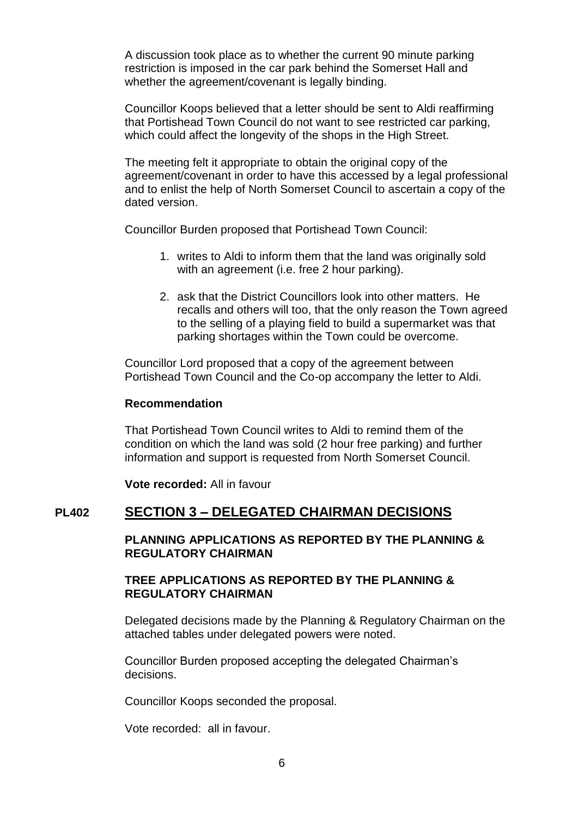A discussion took place as to whether the current 90 minute parking restriction is imposed in the car park behind the Somerset Hall and whether the agreement/covenant is legally binding.

Councillor Koops believed that a letter should be sent to Aldi reaffirming that Portishead Town Council do not want to see restricted car parking, which could affect the longevity of the shops in the High Street.

The meeting felt it appropriate to obtain the original copy of the agreement/covenant in order to have this accessed by a legal professional and to enlist the help of North Somerset Council to ascertain a copy of the dated version.

Councillor Burden proposed that Portishead Town Council:

- 1. writes to Aldi to inform them that the land was originally sold with an agreement (i.e. free 2 hour parking).
- 2. ask that the District Councillors look into other matters. He recalls and others will too, that the only reason the Town agreed to the selling of a playing field to build a supermarket was that parking shortages within the Town could be overcome.

Councillor Lord proposed that a copy of the agreement between Portishead Town Council and the Co-op accompany the letter to Aldi.

### **Recommendation**

That Portishead Town Council writes to Aldi to remind them of the condition on which the land was sold (2 hour free parking) and further information and support is requested from North Somerset Council.

**Vote recorded:** All in favour

# **PL402 SECTION 3 – DELEGATED CHAIRMAN DECISIONS**

**PLANNING APPLICATIONS AS REPORTED BY THE PLANNING & REGULATORY CHAIRMAN**

### **TREE APPLICATIONS AS REPORTED BY THE PLANNING & REGULATORY CHAIRMAN**

Delegated decisions made by the Planning & Regulatory Chairman on the attached tables under delegated powers were noted.

Councillor Burden proposed accepting the delegated Chairman's decisions.

Councillor Koops seconded the proposal.

Vote recorded: all in favour.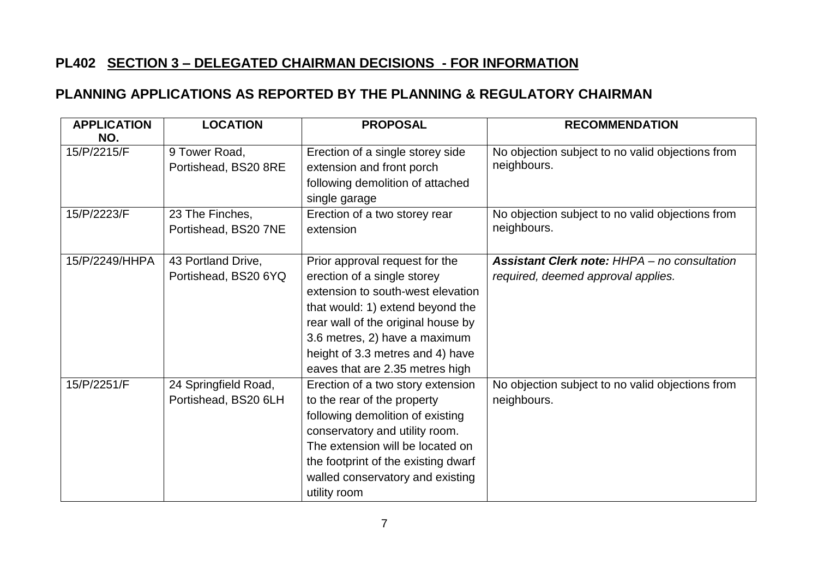# **PL402 SECTION 3 – DELEGATED CHAIRMAN DECISIONS - FOR INFORMATION**

# **PLANNING APPLICATIONS AS REPORTED BY THE PLANNING & REGULATORY CHAIRMAN**

| <b>APPLICATION</b><br>NO. | <b>LOCATION</b>                              | <b>PROPOSAL</b>                                                                                                                                                                                                                                                                      | <b>RECOMMENDATION</b>                                                                     |
|---------------------------|----------------------------------------------|--------------------------------------------------------------------------------------------------------------------------------------------------------------------------------------------------------------------------------------------------------------------------------------|-------------------------------------------------------------------------------------------|
| 15/P/2215/F               | 9 Tower Road,<br>Portishead, BS20 8RE        | Erection of a single storey side<br>extension and front porch<br>following demolition of attached<br>single garage                                                                                                                                                                   | No objection subject to no valid objections from<br>neighbours.                           |
| 15/P/2223/F               | 23 The Finches,<br>Portishead, BS20 7NE      | Erection of a two storey rear<br>extension                                                                                                                                                                                                                                           | No objection subject to no valid objections from<br>neighbours.                           |
| 15/P/2249/HHPA            | 43 Portland Drive,<br>Portishead, BS20 6YQ   | Prior approval request for the<br>erection of a single storey<br>extension to south-west elevation<br>that would: 1) extend beyond the<br>rear wall of the original house by<br>3.6 metres, 2) have a maximum<br>height of 3.3 metres and 4) have<br>eaves that are 2.35 metres high | <b>Assistant Clerk note: HHPA - no consultation</b><br>required, deemed approval applies. |
| 15/P/2251/F               | 24 Springfield Road,<br>Portishead, BS20 6LH | Erection of a two story extension<br>to the rear of the property<br>following demolition of existing<br>conservatory and utility room.<br>The extension will be located on<br>the footprint of the existing dwarf<br>walled conservatory and existing<br>utility room                | No objection subject to no valid objections from<br>neighbours.                           |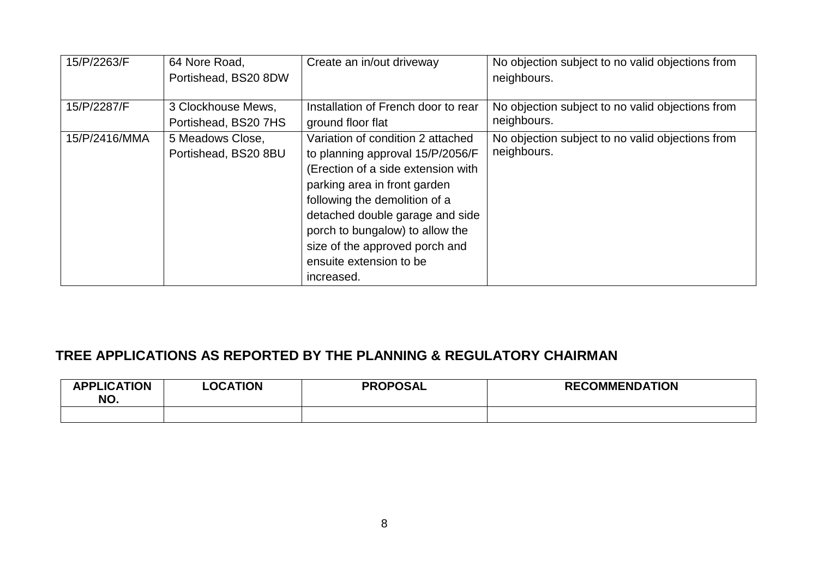| 15/P/2263/F   | 64 Nore Road,<br>Portishead, BS20 8DW      | Create an in/out driveway                                                                                                                                                                                                                                                                                                     | No objection subject to no valid objections from<br>neighbours. |
|---------------|--------------------------------------------|-------------------------------------------------------------------------------------------------------------------------------------------------------------------------------------------------------------------------------------------------------------------------------------------------------------------------------|-----------------------------------------------------------------|
| 15/P/2287/F   | 3 Clockhouse Mews,<br>Portishead, BS20 7HS | Installation of French door to rear<br>ground floor flat                                                                                                                                                                                                                                                                      | No objection subject to no valid objections from<br>neighbours. |
| 15/P/2416/MMA | 5 Meadows Close,<br>Portishead, BS20 8BU   | Variation of condition 2 attached<br>to planning approval 15/P/2056/F<br>(Erection of a side extension with<br>parking area in front garden<br>following the demolition of a<br>detached double garage and side<br>porch to bungalow) to allow the<br>size of the approved porch and<br>ensuite extension to be<br>increased. | No objection subject to no valid objections from<br>neighbours. |

# **TREE APPLICATIONS AS REPORTED BY THE PLANNING & REGULATORY CHAIRMAN**

| <b>APPLICATION</b><br>NO. | <b>LOCATION</b> | <b>PROPOSAL</b> | <b>RECOMMENDATION</b> |
|---------------------------|-----------------|-----------------|-----------------------|
|                           |                 |                 |                       |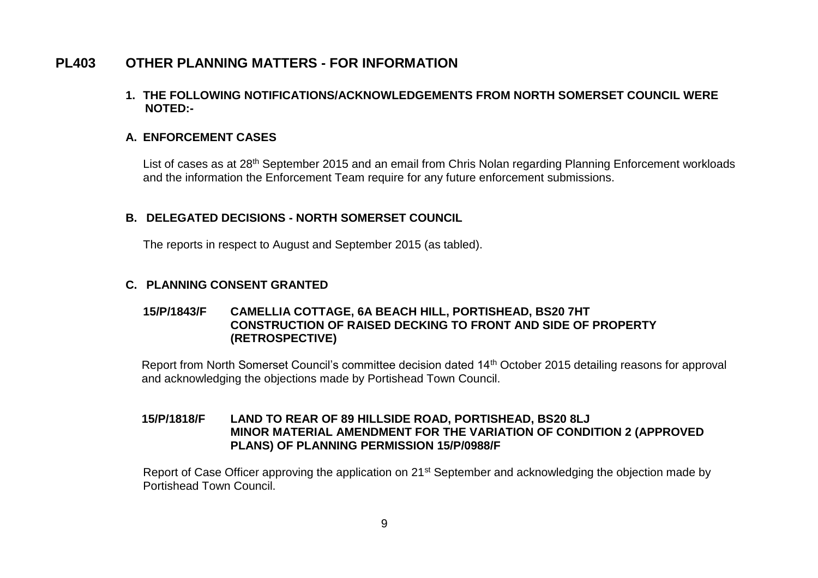# **PL403 OTHER PLANNING MATTERS - FOR INFORMATION**

**1. THE FOLLOWING NOTIFICATIONS/ACKNOWLEDGEMENTS FROM NORTH SOMERSET COUNCIL WERE NOTED:-**

## **A. ENFORCEMENT CASES**

List of cases as at 28<sup>th</sup> September 2015 and an email from Chris Nolan regarding Planning Enforcement workloads and the information the Enforcement Team require for any future enforcement submissions.

### **B. DELEGATED DECISIONS - NORTH SOMERSET COUNCIL**

The reports in respect to August and September 2015 (as tabled).

### **C. PLANNING CONSENT GRANTED**

### **15/P/1843/F CAMELLIA COTTAGE, 6A BEACH HILL, PORTISHEAD, BS20 7HT CONSTRUCTION OF RAISED DECKING TO FRONT AND SIDE OF PROPERTY (RETROSPECTIVE)**

Report from North Somerset Council's committee decision dated 14th October 2015 detailing reasons for approval and acknowledging the objections made by Portishead Town Council.

### **15/P/1818/F LAND TO REAR OF 89 HILLSIDE ROAD, PORTISHEAD, BS20 8LJ MINOR MATERIAL AMENDMENT FOR THE VARIATION OF CONDITION 2 (APPROVED PLANS) OF PLANNING PERMISSION 15/P/0988/F**

Report of Case Officer approving the application on 21<sup>st</sup> September and acknowledging the objection made by Portishead Town Council.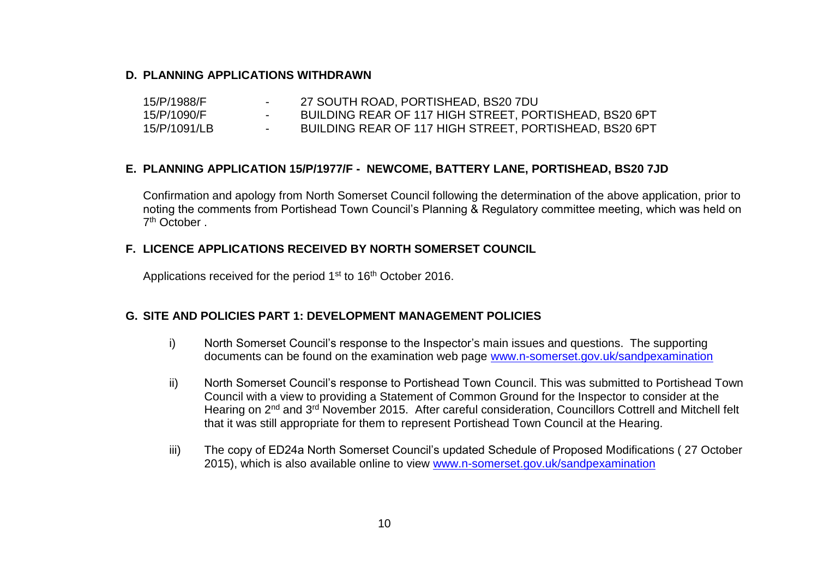### **D. PLANNING APPLICATIONS WITHDRAWN**

| 15/P/1988/F  |               | 27 SOUTH ROAD, PORTISHEAD, BS20 7DU                    |
|--------------|---------------|--------------------------------------------------------|
| 15/P/1090/F  |               | BUILDING REAR OF 117 HIGH STREET, PORTISHEAD, BS20 6PT |
| 15/P/1091/LB | $\sim$ $\sim$ | BUILDING REAR OF 117 HIGH STREET, PORTISHEAD, BS20 6PT |

### **E. PLANNING APPLICATION 15/P/1977/F - NEWCOME, BATTERY LANE, PORTISHEAD, BS20 7JD**

Confirmation and apology from North Somerset Council following the determination of the above application, prior to noting the comments from Portishead Town Council's Planning & Regulatory committee meeting, which was held on 7 th October .

### **F. LICENCE APPLICATIONS RECEIVED BY NORTH SOMERSET COUNCIL**

Applications received for the period 1<sup>st</sup> to 16<sup>th</sup> October 2016.

### **G. SITE AND POLICIES PART 1: DEVELOPMENT MANAGEMENT POLICIES**

- i) North Somerset Council's response to the Inspector's main issues and questions. The supporting documents can be found on the examination web page [www.n-somerset.gov.uk/sandpexamination](http://www.n-somerset.gov.uk/sandpexamination)
- ii) North Somerset Council's response to Portishead Town Council. This was submitted to Portishead Town Council with a view to providing a Statement of Common Ground for the Inspector to consider at the Hearing on 2<sup>nd</sup> and 3<sup>rd</sup> November 2015. After careful consideration, Councillors Cottrell and Mitchell felt that it was still appropriate for them to represent Portishead Town Council at the Hearing.
- iii) The copy of ED24a North Somerset Council's updated Schedule of Proposed Modifications ( 27 October 2015), which is also available online to view [www.n-somerset.gov.uk/sandpexamination](http://www.n-somerset.gov.uk/sandpexamination)